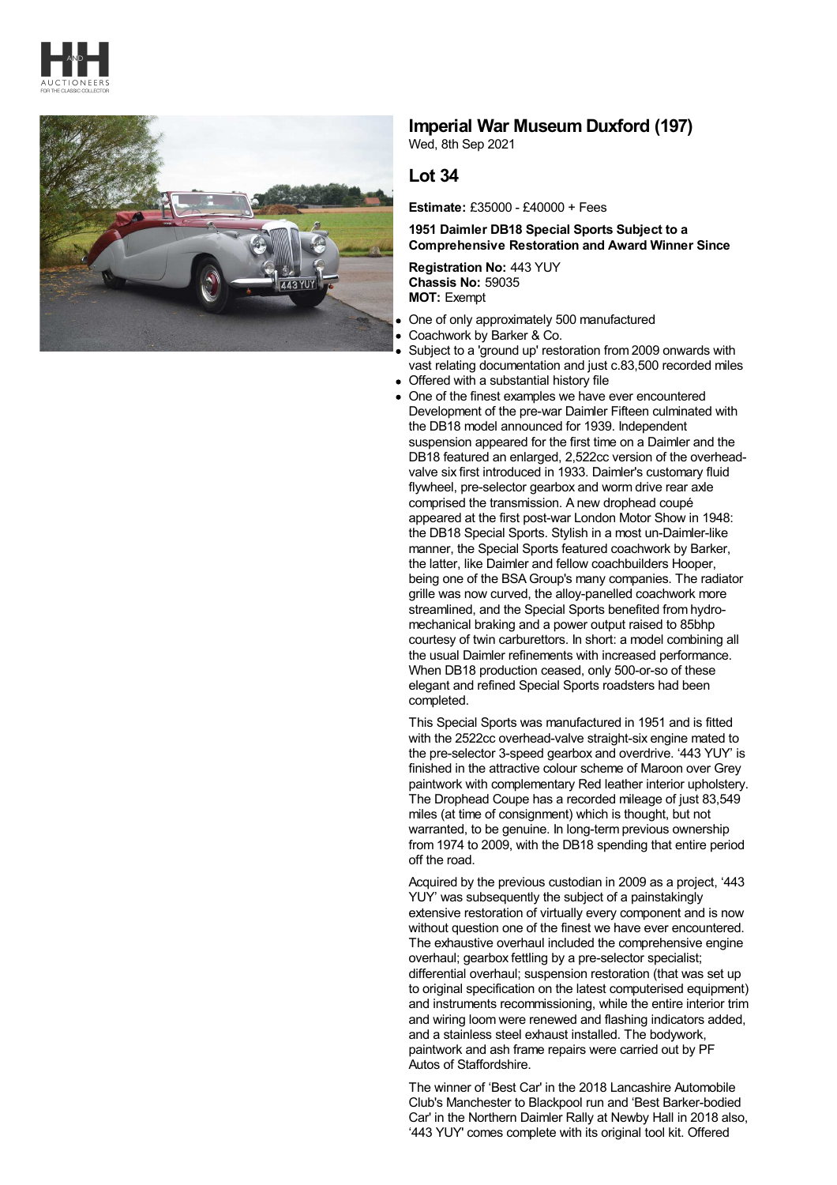



## **Imperial War Museum Duxford (197)**

Wed, 8th Sep 2021

## **Lot 34**

**Estimate:** £35000 - £40000 + Fees

## **1951 Daimler DB18 Special Sports Subject to a Comprehensive Restoration and Award Winner Since**

**Registration No:** 443 YUY **Chassis No:** 59035 **MOT:** Exempt

- One of only approximately 500 manufactured  $\bullet$
- Coachwork by Barker & Co.
- Subject to a 'ground up' restoration from 2009 onwards with vast relating documentation and just c.83,500 recorded miles
- Offered with a substantial history file
- One of the finest examples we have ever encountered Development of the pre-war Daimler Fifteen culminated with the DB18 model announced for 1939. Independent suspension appeared for the first time on a Daimler and the DB18 featured an enlarged, 2,522cc version of the overheadvalve six first introduced in 1933. Daimler's customary fluid flywheel, pre-selector gearbox and worm drive rear axle comprised the transmission. A new drophead coupé appeared at the first post-war London Motor Show in 1948: the DB18 Special Sports. Stylish in a most un-Daimler-like manner, the Special Sports featured coachwork by Barker, the latter, like Daimler and fellow coachbuilders Hooper, being one of the BSAGroup's many companies. The radiator grille was now curved, the alloy-panelled coachwork more streamlined, and the Special Sports benefited from hydro mechanical braking and a power output raised to 85bhp courtesy of twin carburettors. In short: a model combining all the usual Daimler refinements with increased performance. When DB18 production ceased, only 500-or-so of these elegant and refined Special Sports roadsters had been completed.

This Special Sports was manufactured in 1951 and is fitted with the 2522cc overhead-valve straight-six engine mated to the pre-selector 3-speed gearbox and overdrive. '443 YUY' is finished in the attractive colour scheme of Maroon over Grey paintwork with complementary Red leather interior upholstery. The Drophead Coupe has a recorded mileage of just 83,549 miles (at time of consignment) which is thought, but not warranted, to be genuine. In long-term previous ownership from 1974 to 2009, with the DB18 spending that entire period off the road.

Acquired by the previous custodian in 2009 as a project, '443 YUY' was subsequently the subject of a painstakingly extensive restoration of virtually every component and is now without question one of the finest we have ever encountered. The exhaustive overhaul included the comprehensive engine overhaul; gearbox fettling by a pre-selector specialist; differential overhaul; suspension restoration (that was set up to original specification on the latest computerised equipment) and instruments recommissioning, while the entire interior trim and wiring loom were renewed and flashing indicators added, and a stainless steel exhaust installed. The bodywork, paintwork and ash frame repairs were carried out by PF Autos of Staffordshire.

The winner of 'Best Car' in the 2018 Lancashire Automobile Club's Manchester to Blackpool run and 'Best Barker-bodied Car' in the Northern Daimler Rally at Newby Hall in 2018 also, '443 YUY' comes complete with its original tool kit. Offered